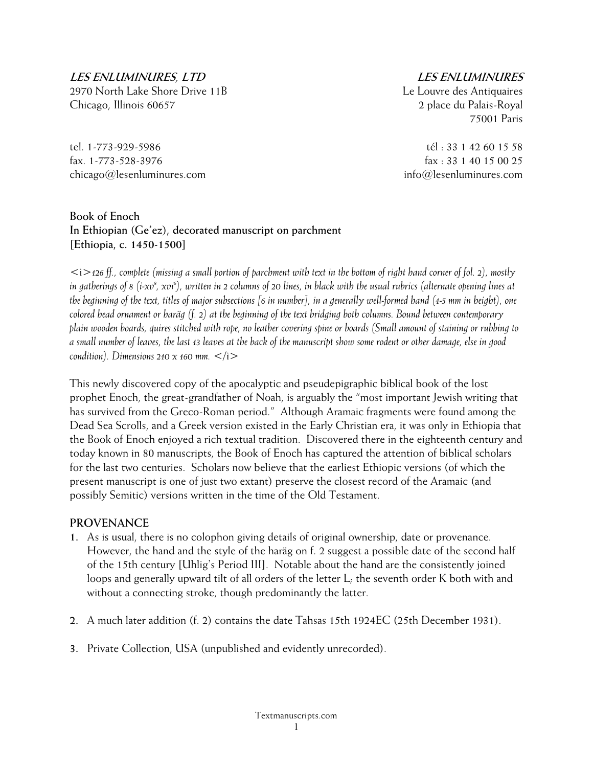**LES ENLUMINURES, LTD** 

2970 North Lake Shore Drive 11B Chicago, Illinois 60657

tel. 1-773-929-5986 fax. 1-773-528-3976 chicago@lesenluminures.com

## **LES ENLUMINURES**

Le Louvre des Antiquaires 2 place du Palais-Royal 75001 Paris

tél : 33 1 42 60 15 58 fax : 33 1 40 15 00 25 info@lesenluminures.com

### **Book of Enoch In Ethiopian (Ge'ez), decorated manuscript on parchment [Ethiopia, c. 1450-1500]**

<i>*126 ff., complete (missing a small portion of parchment with text in the bottom of right hand corner of fol. 2), mostly*  in gatherings of 8 (i-xv<sup>8</sup>, xvi<sup>6</sup>), written in 2 columns of 20 lines, in black with the usual rubrics (alternate opening lines at *the beginning of the text, titles of major subsections [6 in number], in a generally well-formed hand (4-5 mm in height), one colored head ornament or haräg (f. 2) at the beginning of the text bridging both columns. Bound between contemporary plain wooden boards, quires stitched with rope, no leather covering spine or boards (Small amount of staining or rubbing to a small number of leaves, the last 13 leaves at the back of the manuscript show some rodent or other damage, else in good condition*). Dimensions 210  $\times$  160 mm.  $\lt /i$ 

This newly discovered copy of the apocalyptic and pseudepigraphic biblical book of the lost prophet Enoch, the great-grandfather of Noah, is arguably the "most important Jewish writing that has survived from the Greco-Roman period." Although Aramaic fragments were found among the Dead Sea Scrolls, and a Greek version existed in the Early Christian era, it was only in Ethiopia that the Book of Enoch enjoyed a rich textual tradition. Discovered there in the eighteenth century and today known in 80 manuscripts, the Book of Enoch has captured the attention of biblical scholars for the last two centuries. Scholars now believe that the earliest Ethiopic versions (of which the present manuscript is one of just two extant) preserve the closest record of the Aramaic (and possibly Semitic) versions written in the time of the Old Testament.

# **PROVENANCE**

- **1.** As is usual, there is no colophon giving details of original ownership, date or provenance. However, the hand and the style of the haräg on f. 2 suggest a possible date of the second half of the 15th century [Uhlig's Period III]. Notable about the hand are the consistently joined loops and generally upward tilt of all orders of the letter L; the seventh order K both with and without a connecting stroke, though predominantly the latter.
- **2.** A much later addition (f. 2) contains the date Tahsas 15th 1924EC (25th December 1931).
- **3.** Private Collection, USA (unpublished and evidently unrecorded).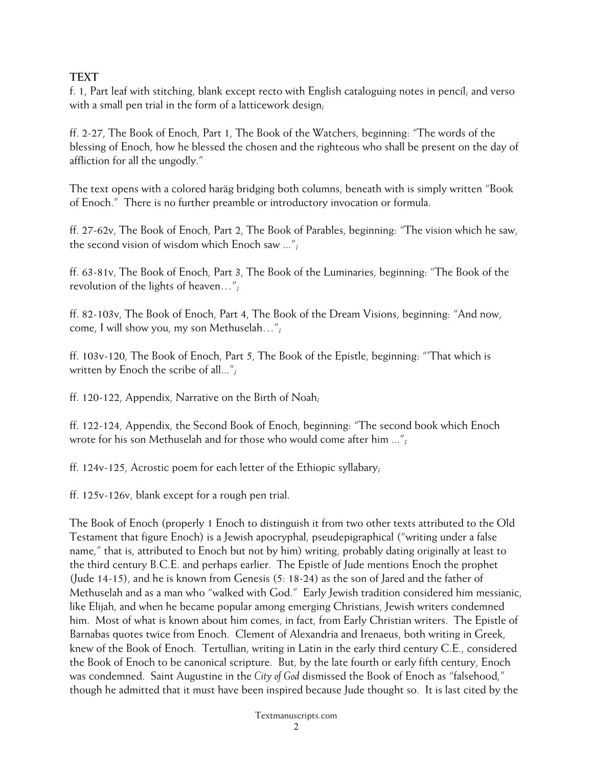## **TEXT**

f. 1, Part leaf with stitching, blank except recto with English cataloguing notes in pencil; and verso with a small pen trial in the form of a latticework design;

ff. 2-27, The Book of Enoch, Part 1, The Book of the Watchers, beginning: "The words of the blessing of Enoch, how he blessed the chosen and the righteous who shall be present on the day of affliction for all the ungodly."

The text opens with a colored haräg bridging both columns, beneath with is simply written "Book of Enoch." There is no further preamble or introductory invocation or formula.

ff. 27-62v, The Book of Enoch, Part 2, The Book of Parables, beginning: "The vision which he saw, the second vision of wisdom which Enoch saw ...";

ff. 63-81v, The Book of Enoch, Part 3, The Book of the Luminaries, beginning: "The Book of the revolution of the lights of heaven…";

ff. 82-103v, The Book of Enoch, Part 4, The Book of the Dream Visions, beginning: "And now, come, I will show you, my son Methuselah…";

ff. 103v-120, The Book of Enoch, Part 5, The Book of the Epistle, beginning: "'That which is written by Enoch the scribe of all...";

ff. 120-122, Appendix, Narrative on the Birth of Noah;

ff. 122-124, Appendix, the Second Book of Enoch, beginning: "The second book which Enoch wrote for his son Methuselah and for those who would come after him ...";

ff. 124v-125, Acrostic poem for each letter of the Ethiopic syllabary;

ff. 125v-126v, blank except for a rough pen trial.

The Book of Enoch (properly 1 Enoch to distinguish it from two other texts attributed to the Old Testament that figure Enoch) is a Jewish apocryphal, pseudepigraphical ("writing under a false name," that is, attributed to Enoch but not by him) writing, probably dating originally at least to the third century B.C.E. and perhaps earlier. The Epistle of Jude mentions Enoch the prophet (Jude 14-15), and he is known from Genesis (5: 18-24) as the son of Jared and the father of Methuselah and as a man who "walked with God." Early Jewish tradition considered him messianic, like Elijah, and when he became popular among emerging Christians, Jewish writers condemned him. Most of what is known about him comes, in fact, from Early Christian writers. The Epistle of Barnabas quotes twice from Enoch. Clement of Alexandria and Irenaeus, both writing in Greek, knew of the Book of Enoch. Tertullian, writing in Latin in the early third century C.E., considered the Book of Enoch to be canonical scripture. But, by the late fourth or early fifth century, Enoch was condemned. Saint Augustine in the *City of God* dismissed the Book of Enoch as "falsehood," though he admitted that it must have been inspired because Jude thought so. It is last cited by the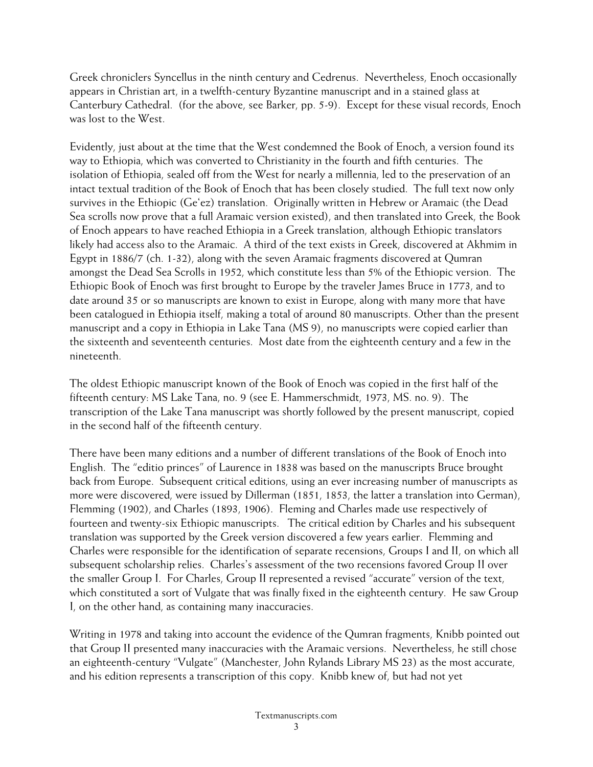Greek chroniclers Syncellus in the ninth century and Cedrenus. Nevertheless, Enoch occasionally appears in Christian art, in a twelfth-century Byzantine manuscript and in a stained glass at Canterbury Cathedral. (for the above, see Barker, pp. 5-9). Except for these visual records, Enoch was lost to the West.

Evidently, just about at the time that the West condemned the Book of Enoch, a version found its way to Ethiopia, which was converted to Christianity in the fourth and fifth centuries. The isolation of Ethiopia, sealed off from the West for nearly a millennia, led to the preservation of an intact textual tradition of the Book of Enoch that has been closely studied. The full text now only survives in the Ethiopic (Ge'ez) translation. Originally written in Hebrew or Aramaic (the Dead Sea scrolls now prove that a full Aramaic version existed), and then translated into Greek, the Book of Enoch appears to have reached Ethiopia in a Greek translation, although Ethiopic translators likely had access also to the Aramaic. A third of the text exists in Greek, discovered at Akhmim in Egypt in 1886/7 (ch. 1-32), along with the seven Aramaic fragments discovered at Qumran amongst the Dead Sea Scrolls in 1952, which constitute less than 5% of the Ethiopic version. The Ethiopic Book of Enoch was first brought to Europe by the traveler James Bruce in 1773, and to date around 35 or so manuscripts are known to exist in Europe, along with many more that have been catalogued in Ethiopia itself, making a total of around 80 manuscripts. Other than the present manuscript and a copy in Ethiopia in Lake Tana (MS 9), no manuscripts were copied earlier than the sixteenth and seventeenth centuries. Most date from the eighteenth century and a few in the nineteenth.

The oldest Ethiopic manuscript known of the Book of Enoch was copied in the first half of the fifteenth century: MS Lake Tana, no. 9 (see E. Hammerschmidt, 1973, MS. no. 9). The transcription of the Lake Tana manuscript was shortly followed by the present manuscript, copied in the second half of the fifteenth century.

There have been many editions and a number of different translations of the Book of Enoch into English. The "editio princes" of Laurence in 1838 was based on the manuscripts Bruce brought back from Europe. Subsequent critical editions, using an ever increasing number of manuscripts as more were discovered, were issued by Dillerman (1851, 1853, the latter a translation into German), Flemming (1902), and Charles (1893, 1906). Fleming and Charles made use respectively of fourteen and twenty-six Ethiopic manuscripts. The critical edition by Charles and his subsequent translation was supported by the Greek version discovered a few years earlier. Flemming and Charles were responsible for the identification of separate recensions, Groups I and II, on which all subsequent scholarship relies. Charles's assessment of the two recensions favored Group II over the smaller Group I. For Charles, Group II represented a revised "accurate" version of the text, which constituted a sort of Vulgate that was finally fixed in the eighteenth century. He saw Group I, on the other hand, as containing many inaccuracies.

Writing in 1978 and taking into account the evidence of the Qumran fragments, Knibb pointed out that Group II presented many inaccuracies with the Aramaic versions. Nevertheless, he still chose an eighteenth-century "Vulgate" (Manchester, John Rylands Library MS 23) as the most accurate, and his edition represents a transcription of this copy. Knibb knew of, but had not yet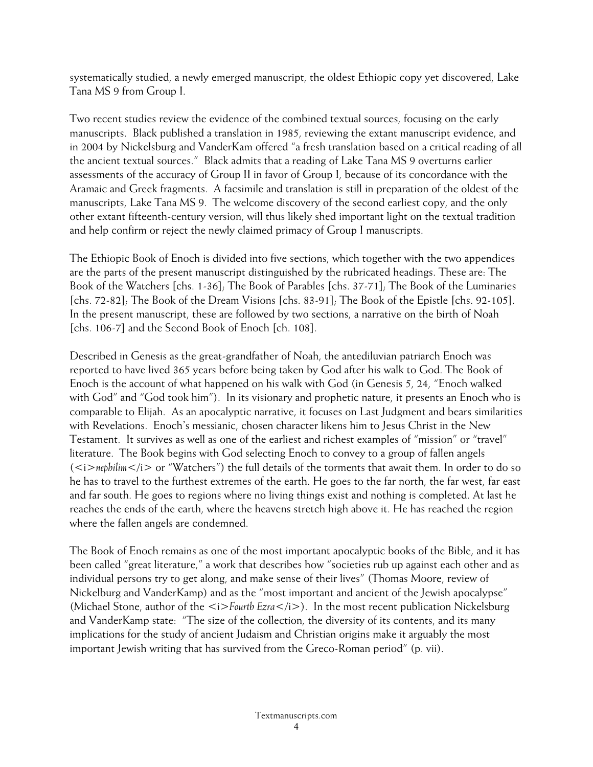systematically studied, a newly emerged manuscript, the oldest Ethiopic copy yet discovered, Lake Tana MS 9 from Group I.

Two recent studies review the evidence of the combined textual sources, focusing on the early manuscripts. Black published a translation in 1985, reviewing the extant manuscript evidence, and in 2004 by Nickelsburg and VanderKam offered "a fresh translation based on a critical reading of all the ancient textual sources." Black admits that a reading of Lake Tana MS 9 overturns earlier assessments of the accuracy of Group II in favor of Group I, because of its concordance with the Aramaic and Greek fragments. A facsimile and translation is still in preparation of the oldest of the manuscripts, Lake Tana MS 9. The welcome discovery of the second earliest copy, and the only other extant fifteenth-century version, will thus likely shed important light on the textual tradition and help confirm or reject the newly claimed primacy of Group I manuscripts.

The Ethiopic Book of Enoch is divided into five sections, which together with the two appendices are the parts of the present manuscript distinguished by the rubricated headings. These are: The Book of the Watchers [chs. 1-36]; The Book of Parables [chs. 37-71]; The Book of the Luminaries [chs. 72-82]; The Book of the Dream Visions [chs. 83-91]; The Book of the Epistle [chs. 92-105]. In the present manuscript, these are followed by two sections, a narrative on the birth of Noah [chs. 106-7] and the Second Book of Enoch [ch. 108].

Described in Genesis as the great-grandfather of Noah, the antediluvian patriarch Enoch was reported to have lived 365 years before being taken by God after his walk to God. The Book of Enoch is the account of what happened on his walk with God (in Genesis 5, 24, "Enoch walked with God" and "God took him"). In its visionary and prophetic nature, it presents an Enoch who is comparable to Elijah. As an apocalyptic narrative, it focuses on Last Judgment and bears similarities with Revelations. Enoch's messianic, chosen character likens him to Jesus Christ in the New Testament. It survives as well as one of the earliest and richest examples of "mission" or "travel" literature. The Book begins with God selecting Enoch to convey to a group of fallen angels  $(*i*>nephilim<sub>/i</sub>> or "Watches")$  the full details of the torments that await them. In order to do so he has to travel to the furthest extremes of the earth. He goes to the far north, the far west, far east and far south. He goes to regions where no living things exist and nothing is completed. At last he reaches the ends of the earth, where the heavens stretch high above it. He has reached the region where the fallen angels are condemned.

The Book of Enoch remains as one of the most important apocalyptic books of the Bible, and it has been called "great literature," a work that describes how "societies rub up against each other and as individual persons try to get along, and make sense of their lives" (Thomas Moore, review of Nickelburg and VanderKamp) and as the "most important and ancient of the Jewish apocalypse" (Michael Stone, author of the *<i>Fourth Ezra* </i>). In the most recent publication Nickelsburg and VanderKamp state: "The size of the collection, the diversity of its contents, and its many implications for the study of ancient Judaism and Christian origins make it arguably the most important Jewish writing that has survived from the Greco-Roman period" (p. vii).